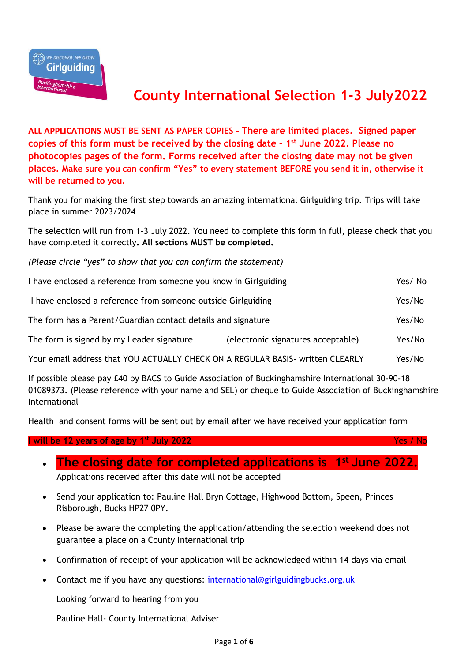

## **County International Selection 1-3 July2022**

**ALL APPLICATIONS MUST BE SENT AS PAPER COPIES – There are limited places. Signed paper copies of this form must be received by the closing date – 1 st June 2022. Please no photocopies pages of the form. Forms received after the closing date may not be given places. Make sure you can confirm "Yes" to every statement BEFORE you send it in, otherwise it will be returned to you.**

Thank you for making the first step towards an amazing international Girlguiding trip. Trips will take place in summer 2023/2024

The selection will run from 1-3 July 2022. You need to complete this form in full, please check that you have completed it correctly**. All sections MUST be completed.**

*(Please circle "yes" to show that you can confirm the statement)*

| I have enclosed a reference from someone you know in Girlguiding               |                                    | Yes/No |
|--------------------------------------------------------------------------------|------------------------------------|--------|
| I have enclosed a reference from someone outside Girlguiding                   |                                    | Yes/No |
| The form has a Parent/Guardian contact details and signature                   |                                    | Yes/No |
| The form is signed by my Leader signature                                      | (electronic signatures acceptable) | Yes/No |
| Your email address that YOU ACTUALLY CHECK ON A REGULAR BASIS- written CLEARLY |                                    | Yes/No |

If possible please pay £40 by BACS to Guide Association of Buckinghamshire International 30-90-18 01089373. (Please reference with your name and SEL) or cheque to Guide Association of Buckinghamshire International

Health and consent forms will be sent out by email after we have received your application form

## **I will be 12 years of age by 1st July 2022** Yes / No

| • The closing date for completed applications is $1st$ June 2022. |  |
|-------------------------------------------------------------------|--|
| Applications received after this date will not be accepted        |  |

- Send your application to: Pauline Hall Bryn Cottage, Highwood Bottom, Speen, Princes Risborough, Bucks HP27 0PY.
- Please be aware the completing the application/attending the selection weekend does not guarantee a place on a County International trip
- Confirmation of receipt of your application will be acknowledged within 14 days via email
- Contact me if you have any questions: [international@girlguidingbucks.org.uk](mailto:international@girlguidingbucks.org.uk)

Looking forward to hearing from you

Pauline Hall- County International Adviser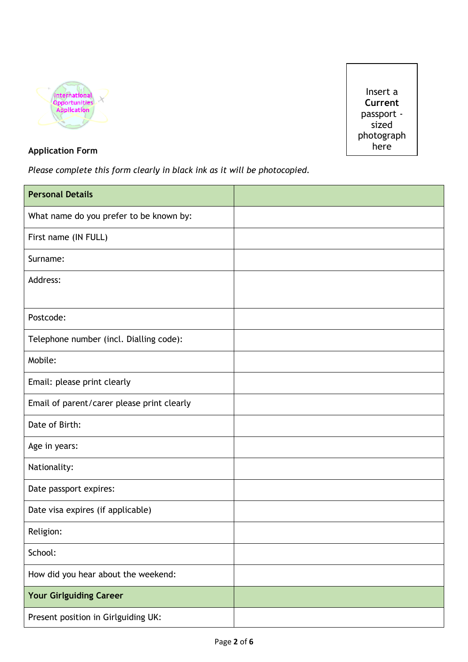



## **Application Form**

*Please complete this form clearly in black ink as it will be photocopied.* 

| <b>Personal Details</b>                    |  |
|--------------------------------------------|--|
| What name do you prefer to be known by:    |  |
| First name (IN FULL)                       |  |
| Surname:                                   |  |
| Address:                                   |  |
|                                            |  |
| Postcode:                                  |  |
| Telephone number (incl. Dialling code):    |  |
| Mobile:                                    |  |
| Email: please print clearly                |  |
| Email of parent/carer please print clearly |  |
| Date of Birth:                             |  |
| Age in years:                              |  |
| Nationality:                               |  |
| Date passport expires:                     |  |
| Date visa expires (if applicable)          |  |
| Religion:                                  |  |
| School:                                    |  |
| How did you hear about the weekend:        |  |
| <b>Your Girlguiding Career</b>             |  |
| Present position in Girlguiding UK:        |  |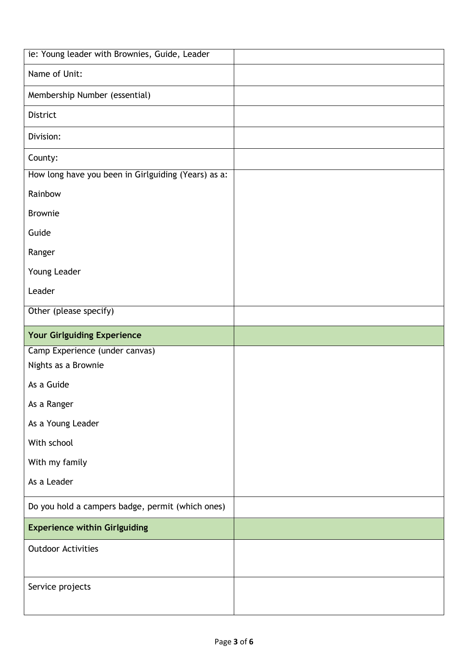| ie: Young leader with Brownies, Guide, Leader       |  |
|-----------------------------------------------------|--|
| Name of Unit:                                       |  |
| Membership Number (essential)                       |  |
| District                                            |  |
| Division:                                           |  |
| County:                                             |  |
| How long have you been in Girlguiding (Years) as a: |  |
| Rainbow                                             |  |
| <b>Brownie</b>                                      |  |
| Guide                                               |  |
| Ranger                                              |  |
| Young Leader                                        |  |
| Leader                                              |  |
| Other (please specify)                              |  |
| <b>Your Girlguiding Experience</b>                  |  |
| Camp Experience (under canvas)                      |  |
| Nights as a Brownie                                 |  |
| As a Guide                                          |  |
| As a Ranger                                         |  |
| As a Young Leader                                   |  |
| With school                                         |  |
| With my family                                      |  |
| As a Leader                                         |  |
| Do you hold a campers badge, permit (which ones)    |  |
| <b>Experience within Girlguiding</b>                |  |
| <b>Outdoor Activities</b>                           |  |
|                                                     |  |
| Service projects                                    |  |
|                                                     |  |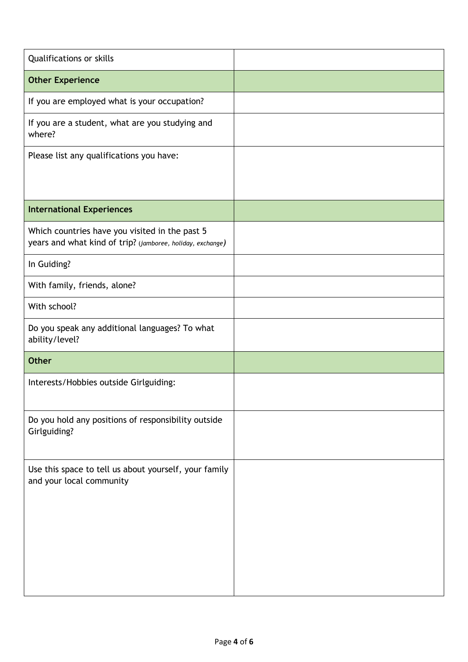| Qualifications or skills                                                                                     |  |
|--------------------------------------------------------------------------------------------------------------|--|
| <b>Other Experience</b>                                                                                      |  |
| If you are employed what is your occupation?                                                                 |  |
| If you are a student, what are you studying and<br>where?                                                    |  |
| Please list any qualifications you have:                                                                     |  |
| <b>International Experiences</b>                                                                             |  |
| Which countries have you visited in the past 5<br>years and what kind of trip? (jamboree, holiday, exchange) |  |
| In Guiding?                                                                                                  |  |
| With family, friends, alone?                                                                                 |  |
| With school?                                                                                                 |  |
| Do you speak any additional languages? To what<br>ability/level?                                             |  |
| <b>Other</b>                                                                                                 |  |
| Interests/Hobbies outside Girlguiding:                                                                       |  |
| Do you hold any positions of responsibility outside<br>Girlguiding?                                          |  |
| Use this space to tell us about yourself, your family<br>and your local community                            |  |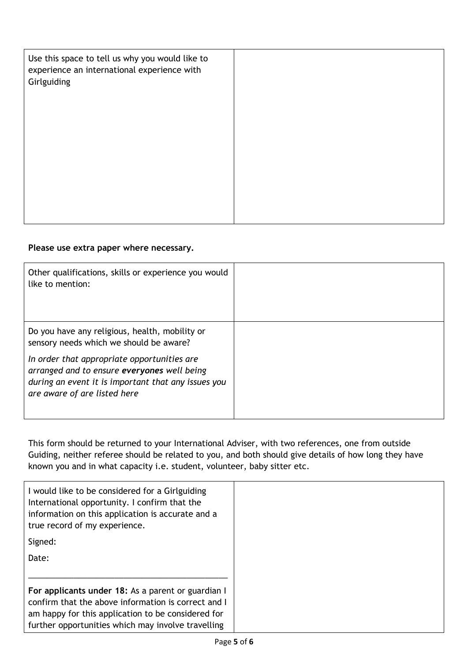| Use this space to tell us why you would like to<br>experience an international experience with<br>Girlguiding |  |
|---------------------------------------------------------------------------------------------------------------|--|
|                                                                                                               |  |
|                                                                                                               |  |
|                                                                                                               |  |

## **Please use extra paper where necessary.**

| Other qualifications, skills or experience you would<br>like to mention:                                                                                                          |  |
|-----------------------------------------------------------------------------------------------------------------------------------------------------------------------------------|--|
| Do you have any religious, health, mobility or<br>sensory needs which we should be aware?                                                                                         |  |
| In order that appropriate opportunities are<br>arranged and to ensure everyones well being<br>during an event it is important that any issues you<br>are aware of are listed here |  |

This form should be returned to your International Adviser, with two references, one from outside Guiding, neither referee should be related to you, and both should give details of how long they have known you and in what capacity i.e. student, volunteer, baby sitter etc.

| I would like to be considered for a Girlguiding<br>International opportunity. I confirm that the<br>information on this application is accurate and a<br>true record of my experience. |  |
|----------------------------------------------------------------------------------------------------------------------------------------------------------------------------------------|--|
| Signed:                                                                                                                                                                                |  |
| Date:                                                                                                                                                                                  |  |
|                                                                                                                                                                                        |  |
| For applicants under 18: As a parent or guardian I                                                                                                                                     |  |
| confirm that the above information is correct and I                                                                                                                                    |  |
| am happy for this application to be considered for                                                                                                                                     |  |
| further opportunities which may involve travelling                                                                                                                                     |  |